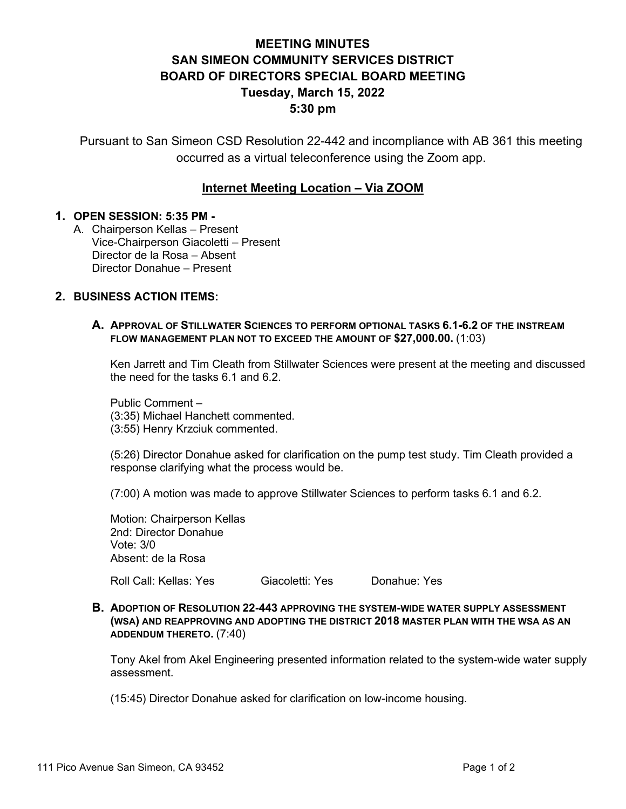# **MEETING MINUTES SAN SIMEON COMMUNITY SERVICES DISTRICT BOARD OF DIRECTORS SPECIAL BOARD MEETING Tuesday, March 15, 2022 5:30 pm**

Pursuant to San Simeon CSD Resolution 22-442 and incompliance with AB 361 this meeting occurred as a virtual teleconference using the Zoom app.

## **Internet Meeting Location – Via ZOOM**

#### **1. OPEN SESSION: 5:35 PM -**

A. Chairperson Kellas – Present Vice-Chairperson Giacoletti – Present Director de la Rosa – Absent Director Donahue – Present

## **2. BUSINESS ACTION ITEMS:**

#### **A. APPROVAL OF STILLWATER SCIENCES TO PERFORM OPTIONAL TASKS 6.1-6.2 OF THE INSTREAM FLOW MANAGEMENT PLAN NOT TO EXCEED THE AMOUNT OF \$27,000.00.** (1:03)

Ken Jarrett and Tim Cleath from Stillwater Sciences were present at the meeting and discussed the need for the tasks 6.1 and 6.2.

Public Comment – (3:35) Michael Hanchett commented. (3:55) Henry Krzciuk commented.

(5:26) Director Donahue asked for clarification on the pump test study. Tim Cleath provided a response clarifying what the process would be.

(7:00) A motion was made to approve Stillwater Sciences to perform tasks 6.1 and 6.2.

Motion: Chairperson Kellas 2nd: Director Donahue Vote: 3/0 Absent: de la Rosa

Roll Call: Kellas: Yes Giacoletti: Yes Donahue: Yes

**B. ADOPTION OF RESOLUTION 22-443 APPROVING THE SYSTEM-WIDE WATER SUPPLY ASSESSMENT (WSA) AND REAPPROVING AND ADOPTING THE DISTRICT 2018 MASTER PLAN WITH THE WSA AS AN ADDENDUM THERETO.** (7:40)

Tony Akel from Akel Engineering presented information related to the system-wide water supply assessment.

(15:45) Director Donahue asked for clarification on low-income housing.